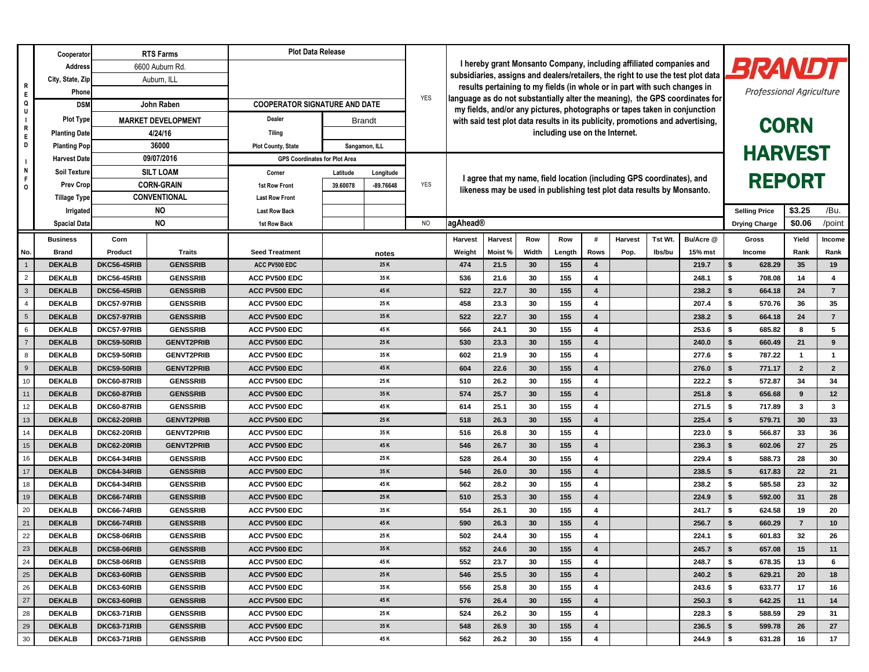|                            | Cooperator                     | <b>RTS Farms</b>           |                                      | <b>Plot Data Release</b>             |               |                                                                     |                                                                                                                                                           |                                                                                  |                                                                                |                                |                                                                                                                                                 |                         |                |         |                |                                 |                  |                |                 |  |
|----------------------------|--------------------------------|----------------------------|--------------------------------------|--------------------------------------|---------------|---------------------------------------------------------------------|-----------------------------------------------------------------------------------------------------------------------------------------------------------|----------------------------------------------------------------------------------|--------------------------------------------------------------------------------|--------------------------------|-------------------------------------------------------------------------------------------------------------------------------------------------|-------------------------|----------------|---------|----------------|---------------------------------|------------------|----------------|-----------------|--|
|                            | <b>Address</b>                 |                            | 6600 Auburn Rd.                      |                                      |               | I hereby grant Monsanto Company, including affiliated companies and |                                                                                                                                                           |                                                                                  |                                                                                |                                |                                                                                                                                                 |                         |                |         | BRANDT         |                                 |                  |                |                 |  |
|                            | City, State, Zip               |                            | Auburn, ILL                          |                                      |               |                                                                     |                                                                                                                                                           | subsidiaries, assigns and dealers/retailers, the right to use the test plot data |                                                                                |                                |                                                                                                                                                 |                         |                |         |                |                                 |                  |                |                 |  |
| R<br>E                     | Phone                          |                            |                                      |                                      |               |                                                                     |                                                                                                                                                           | results pertaining to my fields (in whole or in part with such changes in        |                                                                                |                                |                                                                                                                                                 |                         |                |         |                | <b>Professional Agriculture</b> |                  |                |                 |  |
| Q                          | John Raben<br><b>DSM</b>       |                            | <b>COOPERATOR SIGNATURE AND DATE</b> |                                      |               | <b>YES</b>                                                          | language as do not substantially alter the meaning), the GPS coordinates for<br>my fields, and/or any pictures, photographs or tapes taken in conjunction |                                                                                  |                                                                                |                                |                                                                                                                                                 |                         |                |         |                |                                 |                  |                |                 |  |
| U<br>R<br>$\mathsf E$<br>D | <b>Plot Type</b>               | <b>MARKET DEVELOPMENT</b>  |                                      | <b>Dealer</b><br><b>Brandt</b>       |               |                                                                     |                                                                                                                                                           |                                                                                  | with said test plot data results in its publicity, promotions and advertising, |                                |                                                                                                                                                 |                         |                |         |                |                                 |                  |                |                 |  |
|                            | <b>Planting Date</b>           | 4/24/16                    |                                      | <b>Tiling</b>                        |               |                                                                     |                                                                                                                                                           |                                                                                  |                                                                                | including use on the Internet. | <b>CORN</b>                                                                                                                                     |                         |                |         |                |                                 |                  |                |                 |  |
|                            | <b>Planting Pop</b>            | 36000                      |                                      | <b>Plot County, State</b>            | Sangamon, ILL |                                                                     |                                                                                                                                                           |                                                                                  |                                                                                |                                | <b>HARVEST</b>                                                                                                                                  |                         |                |         |                |                                 |                  |                |                 |  |
|                            | <b>Harvest Date</b>            |                            | 09/07/2016                           | <b>GPS Coordinates for Plot Area</b> |               |                                                                     |                                                                                                                                                           |                                                                                  |                                                                                |                                |                                                                                                                                                 |                         |                |         |                |                                 |                  |                |                 |  |
| N                          | <b>Soil Texture</b>            |                            | <b>SILT LOAM</b>                     | Corner                               | Latitude      | Longitude                                                           |                                                                                                                                                           |                                                                                  |                                                                                |                                |                                                                                                                                                 |                         |                |         |                |                                 |                  |                |                 |  |
| F<br>$\Omega$              | <b>Prev Cropl</b>              |                            | <b>CORN-GRAIN</b>                    | <b>1st Row Front</b>                 | 39.60078      | $-89.76648$                                                         | <b>YES</b>                                                                                                                                                |                                                                                  |                                                                                |                                | I agree that my name, field location (including GPS coordinates), and<br>likeness may be used in publishing test plot data results by Monsanto. |                         | <b>REPORT</b>  |         |                |                                 |                  |                |                 |  |
|                            | <b>Tillage Type</b>            | <b>CONVENTIONAL</b>        |                                      | <b>Last Row Front</b>                |               |                                                                     |                                                                                                                                                           |                                                                                  |                                                                                |                                |                                                                                                                                                 |                         |                |         |                |                                 |                  |                |                 |  |
|                            | Irrigated                      | <b>NO</b>                  |                                      | <b>Last Row Back</b>                 |               |                                                                     |                                                                                                                                                           |                                                                                  |                                                                                |                                | <b>Selling Price</b>                                                                                                                            |                         | \$3.25         | /Bu.    |                |                                 |                  |                |                 |  |
|                            | <b>Spacial Data</b>            |                            | <b>NO</b>                            | 1st Row Back                         |               |                                                                     | N <sub>O</sub>                                                                                                                                            | agAhead®                                                                         |                                                                                |                                |                                                                                                                                                 |                         |                |         |                | <b>Drying Charge</b>            |                  | \$0.06         | /point          |  |
|                            | <b>Business</b>                | Corn                       |                                      |                                      |               |                                                                     |                                                                                                                                                           | <b>Harvest</b>                                                                   | <b>Harvest</b>                                                                 | <b>Row</b>                     | Row                                                                                                                                             | #                       | <b>Harvest</b> | Tst Wt. | Bu/Acre @      | <b>Gross</b>                    |                  | Yield          | Income          |  |
| No.                        | <b>Brand</b>                   | Product                    | <b>Traits</b>                        | <b>Seed Treatment</b>                |               | notes                                                               |                                                                                                                                                           | Weight                                                                           | Moist %                                                                        | Width                          | Length                                                                                                                                          | <b>Rows</b>             | Pop.           | lbs/bu  | <b>15% mst</b> | <b>Income</b>                   |                  | Rank           | Rank            |  |
|                            | <b>DEKALB</b>                  | <b>DKC56-45RIB</b>         | <b>GENSSRIB</b>                      | ACC PV500 EDC                        |               | 25 K                                                                |                                                                                                                                                           | 474                                                                              | 21.5                                                                           | 30 <sup>°</sup>                | 155                                                                                                                                             | 4                       |                |         | 219.7          | \$                              | 628.29           | 35             | 19              |  |
| $\overline{2}$             | <b>DEKALB</b>                  | <b>DKC56-45RIB</b>         | <b>GENSSRIB</b>                      | ACC PV500 EDC                        |               | 35 K                                                                |                                                                                                                                                           | 536                                                                              | 21.6                                                                           | 30                             | 155                                                                                                                                             | 4                       |                |         | 248.1          | \$                              | 708.08           | 14             | $\overline{4}$  |  |
| $\mathbf{3}$               | <b>DEKALB</b>                  | <b>DKC56-45RIB</b>         | <b>GENSSRIB</b>                      | ACC PV500 EDC                        |               | 45 K                                                                |                                                                                                                                                           | 522                                                                              | 22.7                                                                           | 30                             | 155                                                                                                                                             | 4                       |                |         | 238.2          | \$                              | 664.18           | 24             | $\overline{7}$  |  |
|                            | <b>DEKALB</b>                  | DKC57-97RIB                | <b>GENSSRIB</b>                      | ACC PV500 EDC                        |               | 25 K                                                                |                                                                                                                                                           | 458                                                                              | 23.3                                                                           | 30                             | 155                                                                                                                                             | 4                       |                |         | 207.4          | \$                              | 570.76           | 36             | 35              |  |
|                            | <b>DEKALB</b>                  | DKC57-97RIB                | <b>GENSSRIB</b>                      | <b>ACC PV500 EDC</b>                 |               | 35 K                                                                |                                                                                                                                                           | 522                                                                              | 22.7                                                                           | 30 <sup>°</sup>                | 155                                                                                                                                             | 4                       |                |         | 238.2          | \$                              | 664.18           | 24             | $\overline{7}$  |  |
| 6                          | <b>DEKALB</b>                  | <b>DKC57-97RIB</b>         | <b>GENSSRIB</b>                      | ACC PV500 EDC                        |               | 45 K                                                                |                                                                                                                                                           | 566                                                                              | 24.1                                                                           | 30                             | 155                                                                                                                                             | 4                       |                |         | 253.6          | \$                              | 685.82           | 8              | 5               |  |
| $\overline{7}$             | <b>DEKALB</b>                  | <b>DKC59-50RIB</b>         | <b>GENVT2PRIB</b>                    | ACC PV500 EDC                        |               | 25 K                                                                |                                                                                                                                                           | 530                                                                              | 23.3                                                                           | 30                             | 155                                                                                                                                             | 4                       |                |         | 240.0          | \$                              | 660.49           | 21             | 9               |  |
| 8                          | <b>DEKALB</b>                  | <b>DKC59-50RIB</b>         | <b>GENVT2PRIB</b>                    | ACC PV500 EDC                        |               | 35 K                                                                |                                                                                                                                                           | 602                                                                              | 21.9                                                                           | 30                             | 155                                                                                                                                             | 4                       |                |         | 277.6          | \$                              | 787.22           |                | $\mathbf{1}$    |  |
| 9                          | <b>DEKALB</b>                  | <b>DKC59-50RIB</b>         | <b>GENVT2PRIB</b>                    | ACC PV500 EDC                        | 45 K          |                                                                     |                                                                                                                                                           | 604                                                                              | 22.6                                                                           | 30                             | 155                                                                                                                                             | 4                       |                |         | 276.0          | \$                              | 771.17           | $\overline{2}$ | $\overline{2}$  |  |
| 10                         | <b>DEKALB</b>                  | <b>DKC60-87RIB</b>         | <b>GENSSRIB</b>                      | ACC PV500 EDC                        | 25 K          |                                                                     |                                                                                                                                                           | 510                                                                              | 26.2                                                                           | 30                             | 155                                                                                                                                             | 4                       |                |         | 222.2          | \$                              | 572.87           | 34             | 34              |  |
| 11                         | <b>DEKALB</b>                  | <b>DKC60-87RIB</b>         | <b>GENSSRIB</b>                      | ACC PV500 EDC                        | 35 K          |                                                                     |                                                                                                                                                           | 574                                                                              | 25.7                                                                           | 30 <sup>°</sup>                | 155                                                                                                                                             | 4                       |                |         | 251.8          | \$.                             | 656.68           | 9              | 12              |  |
| 12 <sup>2</sup>            | <b>DEKALB</b>                  | DKC60-87RIB                | <b>GENSSRIB</b>                      | ACC PV500 EDC                        | 45 K          |                                                                     |                                                                                                                                                           | 614                                                                              | 25.1                                                                           | 30                             | 155                                                                                                                                             |                         |                |         | 271.5          | \$                              | 717.89           | 3              | 3               |  |
| 13                         | <b>DEKALB</b>                  | <b>DKC62-20RIB</b>         | <b>GENVT2PRIB</b>                    | ACC PV500 EDC                        |               | 25 K                                                                |                                                                                                                                                           | 518                                                                              | 26.3                                                                           | 30                             | 155                                                                                                                                             | 4                       |                |         | 225.4          | $\sqrt[6]{\frac{1}{2}}$         | 579.71           | 30             | 33 <sup>°</sup> |  |
| 14                         | <b>DEKALB</b>                  | <b>DKC62-20RIB</b>         | <b>GENVT2PRIB</b>                    | ACC PV500 EDC                        |               | 35 K                                                                |                                                                                                                                                           | 516                                                                              | 26.8                                                                           | 30                             | 155                                                                                                                                             | 4                       |                |         | 223.0          | \$                              | 566.87           | 33             | 36              |  |
| 15                         | <b>DEKALB</b>                  | <b>DKC62-20RIB</b>         | <b>GENVT2PRIB</b>                    | ACC PV500 EDC                        |               | 45 K                                                                |                                                                                                                                                           | 546                                                                              | 26.7                                                                           | 30                             | 155                                                                                                                                             | 4                       |                |         | 236.3          | \$                              | 602.06           | 27             | 25              |  |
| 16                         | <b>DEKALB</b>                  | DKC64-34RIB                | <b>GENSSRIB</b>                      | ACC PV500 EDC                        |               | 25 K                                                                |                                                                                                                                                           | 528                                                                              | 26.4                                                                           | 30                             | 155                                                                                                                                             | 4                       |                |         | 229.4          | \$                              | 588.73           | 28             | 30              |  |
| 17                         | <b>DEKALB</b>                  | DKC64-34RIB                | <b>GENSSRIB</b>                      | ACC PV500 EDC                        |               | 35 K                                                                |                                                                                                                                                           | 546                                                                              | 26.0                                                                           | 30                             | 155                                                                                                                                             | 4                       |                |         | 238.5          | \$                              | 617.83           | 22             | 21              |  |
| 18<br>19                   | <b>DEKALB</b><br><b>DEKALB</b> | DKC64-34RIB<br>DKC66-74RIB | <b>GENSSRIB</b><br><b>GENSSRIB</b>   | ACC PV500 EDC<br>ACC PV500 EDC       |               | 45 K<br>25 K                                                        |                                                                                                                                                           | 562<br>510                                                                       | 28.2<br>25.3                                                                   | 30<br>30 <sup>°</sup>          | 155<br>155                                                                                                                                      | 4<br>4                  |                |         | 238.2<br>224.9 | \$<br>\$                        | 585.58<br>592.00 | 23<br>31       | 32<br>28        |  |
| 20                         | <b>DEKALB</b>                  | DKC66-74RIB                | <b>GENSSRIB</b>                      | ACC PV500 EDC                        |               | 35 K                                                                |                                                                                                                                                           | 554                                                                              | 26.1                                                                           | 30                             | 155                                                                                                                                             | 4                       |                |         | 241.7          | \$                              | 624.58           | 19             | 20              |  |
| 21                         | <b>DEKALB</b>                  | <b>DKC66-74RIB</b>         | <b>GENSSRIB</b>                      | ACC PV500 EDC                        |               | 45 K                                                                |                                                                                                                                                           | 590                                                                              | 26.3                                                                           | 30                             | 155                                                                                                                                             | 4                       |                |         | 256.7          | $$^{\circ}$                     | 660.29           | $\overline{7}$ | 10 <sup>°</sup> |  |
| 22                         | <b>DEKALB</b>                  | <b>DKC58-06RIB</b>         | <b>GENSSRIB</b>                      | ACC PV500 EDC                        |               | 25 K                                                                |                                                                                                                                                           | 502                                                                              | 24.4                                                                           | 30                             | 155                                                                                                                                             | $\overline{\mathbf{4}}$ |                |         | 224.1          | \$                              | 601.83           | 32             | 26              |  |
| 23                         | <b>DEKALB</b>                  | DKC58-06RIB                | <b>GENSSRIB</b>                      | ACC PV500 EDC                        |               | 35 K                                                                |                                                                                                                                                           | 552                                                                              | 24.6                                                                           | 30                             | 155                                                                                                                                             | $\overline{4}$          |                |         | 245.7          | \$                              | 657.08           | 15             | 11              |  |
| 24                         | <b>DEKALB</b>                  | <b>DKC58-06RIB</b>         | <b>GENSSRIB</b>                      | ACC PV500 EDC                        |               | 45 K                                                                |                                                                                                                                                           | 552                                                                              | 23.7                                                                           | 30                             | 155                                                                                                                                             | 4                       |                |         | 248.7          | \$                              | 678.35           | 13             | 6               |  |
| 25                         | <b>DEKALB</b>                  | DKC63-60RIB                | <b>GENSSRIB</b>                      | ACC PV500 EDC                        |               | 25 K                                                                |                                                                                                                                                           | 546                                                                              | 25.5                                                                           | 30                             | 155                                                                                                                                             | 4                       |                |         | 240.2          | \$                              | 629.21           | 20             | 18              |  |
| 26                         | <b>DEKALB</b>                  | DKC63-60RIB                | <b>GENSSRIB</b>                      | <b>ACC PV500 EDC</b>                 |               | 35 K                                                                |                                                                                                                                                           | 556                                                                              | 25.8                                                                           | 30                             | 155                                                                                                                                             | 4                       |                |         | 243.6          | \$                              | 633.77           | 17             | 16              |  |
| 27                         | <b>DEKALB</b>                  | DKC63-60RIB                | <b>GENSSRIB</b>                      | ACC PV500 EDC                        |               | 45 K                                                                |                                                                                                                                                           | 576                                                                              | 26.4                                                                           | 30                             | 155                                                                                                                                             | 4                       |                |         | 250.3          | \$                              | 642.25           | 11             | 14              |  |
| 28                         | <b>DEKALB</b>                  | <b>DKC63-71RIB</b>         | <b>GENSSRIB</b>                      | ACC PV500 EDC                        |               | 25 K                                                                |                                                                                                                                                           | 524                                                                              | 26.2                                                                           | 30                             | 155                                                                                                                                             | 4                       |                |         | 228.3          | \$                              | 588.59           | 29             | 31              |  |
| 29                         | <b>DEKALB</b>                  | <b>DKC63-71RIB</b>         | <b>GENSSRIB</b>                      | ACC PV500 EDC                        |               | 35 K                                                                |                                                                                                                                                           | 548                                                                              | 26.9                                                                           | 30 <sup>°</sup>                | 155                                                                                                                                             | 4                       |                |         | 236.5          | \$                              | 599.78           | 26             | 27              |  |
| 30                         | <b>DEKALB</b>                  | <b>DKC63-71RIB</b>         | <b>GENSSRIB</b>                      | ACC PV500 EDC                        |               | 45 K                                                                |                                                                                                                                                           | 562                                                                              | 26.2                                                                           | 30                             | 155                                                                                                                                             | 4                       |                |         | 244.9          | \$                              | 631.28           | 16             | 17              |  |